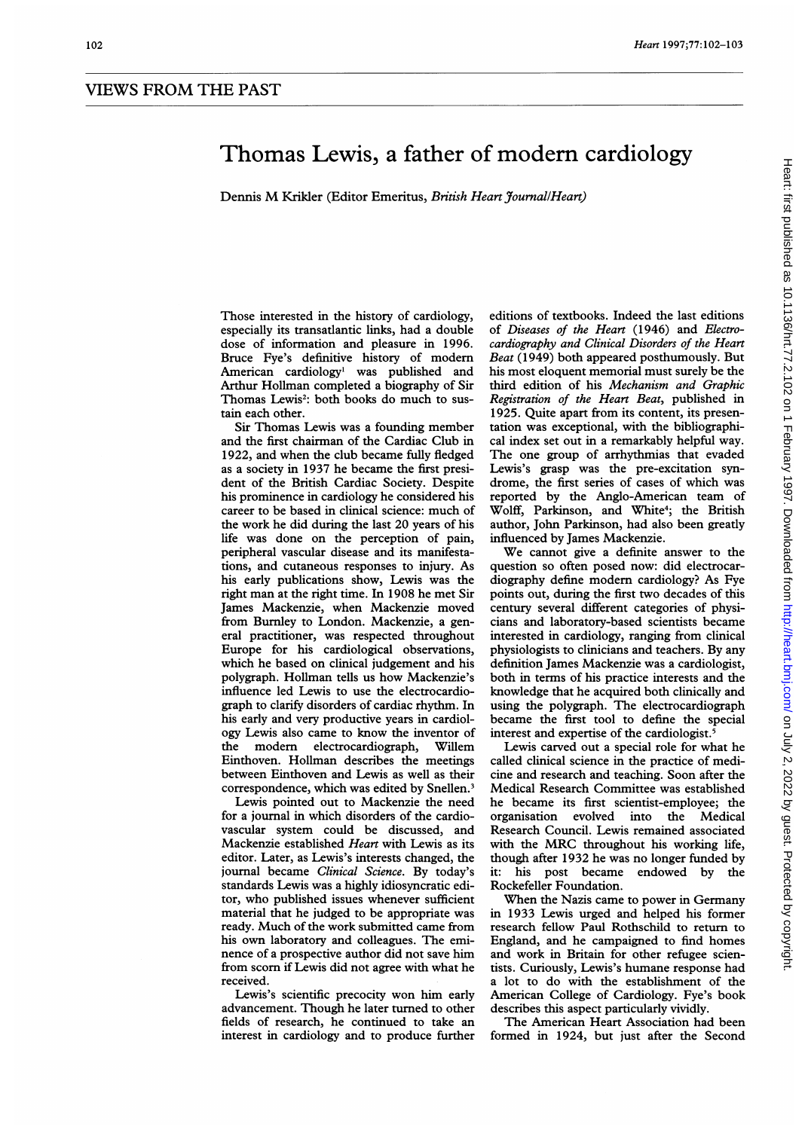## Thomas Lewis, a father of modern cardiology

Dennis M Krikler (Editor Emeritus, British Heart Journal/Heart)

Those interested in the history of cardiology, especially its transatlantic links, had a double dose of information and pleasure in 1996. Bruce Fye's definitive history of modem American cardiology' was published and Arthur Hollman completed a biography of Sir Thomas Lewis<sup>2</sup>: both books do much to sustain each other.

Sir Thomas Lewis was a founding member and the first chairman of the Cardiac Club in 1922, and when the club became fully fledged as a society in 1937 he became the first president of the British Cardiac Society. Despite his prominence in cardiology he considered his career to be based in clinical science: much of the work he did during the last 20 years of his life was done on the perception of pain, peripheral vascular disease and its manifestations, and cutaneous responses to injury. As his early publications show, Lewis was the right man at the right time. In 1908 he met Sir James Mackenzie, when Mackenzie moved from Burnley to London. Mackenzie, a general practitioner, was respected throughout Europe for his cardiological observations, which he based on clinical judgement and his polygraph. Hollman tells us how Mackenzie's influence led Lewis to use the electrocardiograph to clarify disorders of cardiac rhythm. In his early and very productive years in cardiology Lewis also came to know the inventor of<br>the modern electrocardiograph, Willem electrocardiograph, Willem Einthoven. Hollman describes the meetings between Einthoven and Lewis as well as their correspondence, which was edited by Snellen.<sup>3</sup>

Lewis pointed out to Mackenzie the need for a journal in which disorders of the cardiovascular system could be discussed, and Mackenzie established Heart with Lewis as its editor. Later, as Lewis's interests changed, the journal became Clinical Science. By today's standards Lewis was a highly idiosyncratic editor, who published issues whenever sufficient material that he judged to be appropriate was ready. Much of the work submitted came from his own laboratory and colleagues. The eminence of a prospective author did not save him from scorn if Lewis did not agree with what he received.

Lewis's scientific precocity won him early advancement. Though he later turned to other fields of research, he continued to take an interest in cardiology and to produce further editions of textbooks. Indeed the last editions of Diseases of the Heart (1946) and Electrocardiography and Clinical Disorders of the Heart Beat (1949) both appeared posthumously. But his most eloquent memorial must surely be the third edition of his Mechanism and Graphic Registration of the Heart Beat, published in 1925. Quite apart from its content, its presentation was exceptional, with the bibliographical index set out in a remarkably helpful way. The one group of arrhythmias that evaded Lewis's grasp was the pre-excitation syndrome, the first series of cases of which was reported by the Anglo-American team of Wolff, Parkinson, and White<sup>4</sup>; the British author, John Parkinson, had also been greatly influenced by James Mackenzie.

We cannot give <sup>a</sup> definite answer to the question so often posed now: did electrocardiography define modem cardiology? As Fye points out, during the first two decades of this century several different categories of physicians and laboratory-based scientists became interested in cardiology, ranging from clinical physiologists to clinicians and teachers. By any definition James Mackenzie was a cardiologist, both in terms of his practice interests and the knowledge that he acquired both clinically and using the polygraph. The electrocardiograph became the first tool to define the special interest and expertise of the cardiologist.<sup>5</sup>

Lewis carved out a special role for what he called clinical science in the practice of medicine and research and teaching. Soon after the Medical Research Committee was established he became its first scientist-employee; the organisation evolved into the Medical Research Council. Lewis remained associated with the MRC throughout his working life, though after 1932 he was no longer funded by it: his post became endowed by the Rockefeller Foundation.

When the Nazis came to power in Germany in 1933 Lewis urged and helped his former research fellow Paul Rothschild to return to England, and he campaigned to find homes and work in Britain for other refugee scientists. Curiously, Lewis's humane response had a lot to do with the establishment of the American College of Cardiology. Fye's book describes this aspect particularly vividly.

The American Heart Association had been formed in 1924, but just after the Second